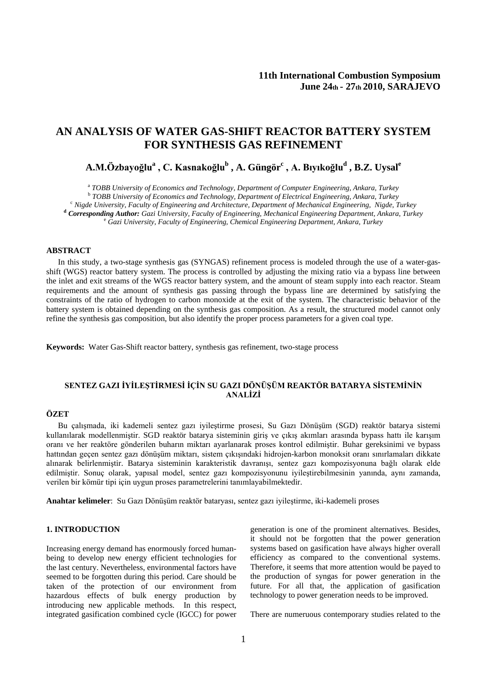# **AN ANALYSIS OF WATER GAS-SHIFT REACTOR BATTERY SYSTEM FOR SYNTHESIS GAS REFINEMENT**

# **A.M.Özbayoğlu<sup>a</sup> , C. Kasnakoğlu<sup>b</sup> , A. Güngör<sup>c</sup> , A. Bıyıkoğlu<sup>d</sup> , B.Z. Uysal<sup>e</sup>**

<sup>a</sup> TOBB University of Economics and Technology, Department of Computer Engineering, Ankara, Turkey<br><sup>b</sup> TOBB University of Economics and Technology, Department of Electrical Engineering, Ankara, Turkey<br><sup>c</sup> Nigde Universit

#### **ABSTRACT**

In this study, a two-stage synthesis gas (SYNGAS) refinement process is modeled through the use of a water-gasshift (WGS) reactor battery system. The process is controlled by adjusting the mixing ratio via a bypass line between the inlet and exit streams of the WGS reactor battery system, and the amount of steam supply into each reactor. Steam requirements and the amount of synthesis gas passing through the bypass line are determined by satisfying the constraints of the ratio of hydrogen to carbon monoxide at the exit of the system. The characteristic behavior of the battery system is obtained depending on the synthesis gas composition. As a result, the structured model cannot only refine the synthesis gas composition, but also identify the proper process parameters for a given coal type.

**Keywords:** Water Gas-Shift reactor battery, synthesis gas refinement, two-stage process

## **SENTEZ GAZI İYİLEŞTİRMESİ İÇİN SU GAZI DÖNÜŞÜM REAKTÖR BATARYA SİSTEMİNİN ANALİZİ**

# **ÖZET**

Bu çalışmada, iki kademeli sentez gazı iyileştirme prosesi, Su Gazı Dönüşüm (SGD) reaktör batarya sistemi kullanılarak modellenmiştir. SGD reaktör batarya sisteminin giriş ve çıkış akımları arasında bypass hattı ile karışım oranı ve her reaktöre gönderilen buharın miktarı ayarlanarak proses kontrol edilmiştir. Buhar gereksinimi ve bypass hattından geçen sentez gazı dönüşüm miktarı, sistem çıkışındaki hidrojen-karbon monoksit oranı sınırlamaları dikkate alınarak belirlenmiştir. Batarya sisteminin karakteristik davranışı, sentez gazı kompozisyonuna bağlı olarak elde edilmiştir. Sonuç olarak, yapısal model, sentez gazı kompozisyonunu iyileştirebilmesinin yanında, aynı zamanda, verilen bir kömür tipi için uygun proses parametrelerini tanımlayabilmektedir.

**Anahtar kelimeler**: Su Gazı Dönüşüm reaktör bataryası, sentez gazı iyileştirme, iki-kademeli proses

### **1. INTRODUCTION**

Increasing energy demand has enormously forced humanbeing to develop new energy efficient technologies for the last century. Nevertheless, environmental factors have seemed to be forgotten during this period. Care should be taken of the protection of our environment from hazardous effects of bulk energy production by introducing new applicable methods. In this respect, integrated gasification combined cycle (IGCC) for power

generation is one of the prominent alternatives. Besides, it should not be forgotten that the power generation systems based on gasification have always higher overall efficiency as compared to the conventional systems. Therefore, it seems that more attention would be payed to the production of syngas for power generation in the future. For all that, the application of gasification technology to power generation needs to be improved.

There are numeruous contemporary studies related to the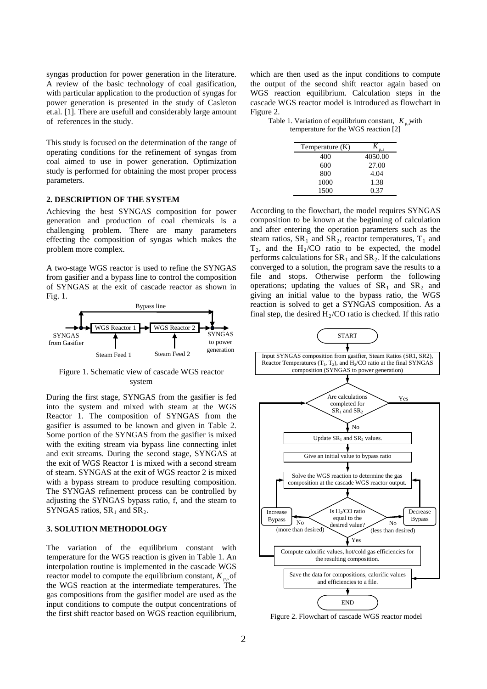syngas production for power generation in the literature. A review of the basic technology of coal gasification, with particular application to the production of syngas for power generation is presented in the study of Casleton et.al. [1]. There are usefull and considerably large amount of references in the study.

This study is focused on the determination of the range of operating conditions for the refinement of syngas from coal aimed to use in power generation. Optimization study is performed for obtaining the most proper process parameters.

#### **2. DESCRIPTION OF THE SYSTEM**

Achieving the best SYNGAS composition for power generation and production of coal chemicals is a challenging problem. There are many parameters effecting the composition of syngas which makes the problem more complex.

A two-stage WGS reactor is used to refine the SYNGAS from gasifier and a bypass line to control the composition of SYNGAS at the exit of cascade reactor as shown in Fig. 1.



Figure 1. Schematic view of cascade WGS reactor system

During the first stage, SYNGAS from the gasifier is fed into the system and mixed with steam at the WGS Reactor 1. The composition of SYNGAS from the gasifier is assumed to be known and given in Table 2. Some portion of the SYNGAS from the gasifier is mixed with the exiting stream via bypass line connecting inlet and exit streams. During the second stage, SYNGAS at the exit of WGS Reactor 1 is mixed with a second stream of steam. SYNGAS at the exit of WGS reactor 2 is mixed with a bypass stream to produce resulting composition. The SYNGAS refinement process can be controlled by adjusting the SYNGAS bypass ratio, f, and the steam to SYNGAS ratios,  $SR<sub>1</sub>$  and  $SR<sub>2</sub>$ .

#### **3. SOLUTION METHODOLOGY**

The variation of the equilibrium constant with temperature for the WGS reaction is given in Table 1. An interpolation routine is implemented in the cascade WGS reactor model to compute the equilibrium constant,  $K_{p,s}$  of the WGS reaction at the intermediate temperatures. The gas compositions from the gasifier model are used as the input conditions to compute the output concentrations of the first shift reactor based on WGS reaction equilibrium,

which are then used as the input conditions to compute the output of the second shift reactor again based on WGS reaction equilibrium. Calculation steps in the cascade WGS reactor model is introduced as flowchart in Figure 2.

Table 1. Variation of equilibrium constant,  $K_{p,s}$  with temperature for the WGS reaction [2]

| Temperature (K) | D.S     |
|-----------------|---------|
| 400             | 4050.00 |
| 600             | 27.00   |
| 800             | 4.04    |
| 1000            | 1.38    |
| 1500            | 0.37    |

According to the flowchart, the model requires SYNGAS composition to be known at the beginning of calculation and after entering the operation parameters such as the steam ratios,  $SR_1$  and  $SR_2$ , reactor temperatures,  $T_1$  and  $T_2$ , and the H<sub>2</sub>/CO ratio to be expected, the model performs calculations for  $SR_1$  and  $SR_2$ . If the calculations converged to a solution, the program save the results to a file and stops. Otherwise perform the following operations; updating the values of  $SR_1$  and  $SR_2$  and giving an initial value to the bypass ratio, the WGS reaction is solved to get a SYNGAS composition. As a final step, the desired  $H<sub>2</sub>/CO$  ratio is checked. If this ratio



Figure 2. Flowchart of cascade WGS reactor model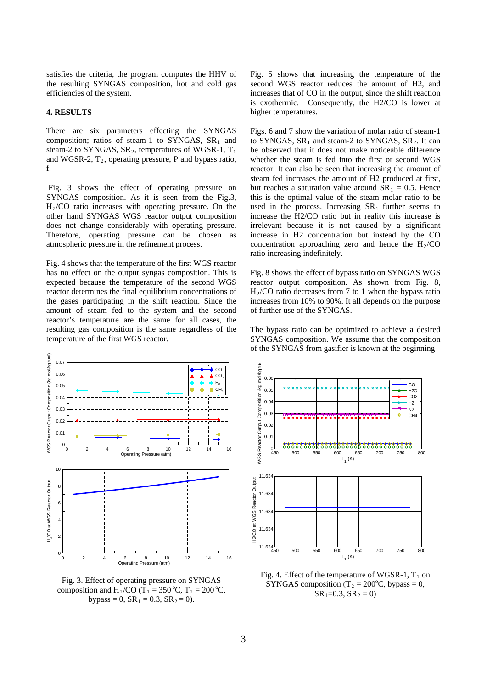satisfies the criteria, the program computes the HHV of the resulting SYNGAS composition, hot and cold gas efficiencies of the system.

#### **4. RESULTS**

There are six parameters effecting the SYNGAS composition; ratios of steam-1 to SYNGAS,  $SR_1$  and steam-2 to SYNGAS,  $SR<sub>2</sub>$ , temperatures of WGSR-1,  $T<sub>1</sub>$ and WGSR-2,  $T_2$ , operating pressure, P and bypass ratio, f.

Fig. 3 shows the effect of operating pressure on SYNGAS composition. As it is seen from the Fig.3,  $H<sub>2</sub>/CO$  ratio increases with operating pressure. On the other hand SYNGAS WGS reactor output composition does not change considerably with operating pressure. Therefore, operating pressure can be chosen as atmospheric pressure in the refinement process.

Fig. 4 shows that the temperature of the first WGS reactor has no effect on the output syngas composition. This is expected because the temperature of the second WGS reactor determines the final equilibrium concentrations of the gases participating in the shift reaction. Since the amount of steam fed to the system and the second reactor's temperature are the same for all cases, the resulting gas composition is the same regardless of the temperature of the first WGS reactor.



Fig. 3. Effect of operating pressure on SYNGAS composition and H<sub>2</sub>/CO (T<sub>1</sub> = 350 °C, T<sub>2</sub> = 200 °C, bypass = 0,  $SR_1 = 0.3$ ,  $SR_2 = 0$ ).

Fig. 5 shows that increasing the temperature of the second WGS reactor reduces the amount of H2, and increases that of CO in the output, since the shift reaction is exothermic. Consequently, the H2/CO is lower at higher temperatures.

Figs. 6 and 7 show the variation of molar ratio of steam-1 to SYNGAS,  $SR_1$  and steam-2 to SYNGAS,  $SR_2$ . It can be observed that it does not make noticeable difference whether the steam is fed into the first or second WGS reactor. It can also be seen that increasing the amount of steam fed increases the amount of H2 produced at first, but reaches a saturation value around  $SR_1 = 0.5$ . Hence this is the optimal value of the steam molar ratio to be used in the process. Increasing  $SR<sub>1</sub>$  further seems to increase the H2/CO ratio but in reality this increase is irrelevant because it is not caused by a significant increase in H2 concentration but instead by the CO concentration approaching zero and hence the  $H<sub>2</sub>/CO$ ratio increasing indefinitely.

Fig. 8 shows the effect of bypass ratio on SYNGAS WGS reactor output composition. As shown from Fig. 8,  $H<sub>2</sub>/CO$  ratio decreases from 7 to 1 when the bypass ratio increases from 10% to 90%. It all depends on the purpose of further use of the SYNGAS.

The bypass ratio can be optimized to achieve a desired SYNGAS composition. We assume that the composition of the SYNGAS from gasifier is known at the beginning



Fig. 4. Effect of the temperature of WGSR-1,  $T_1$  on SYNGAS composition (T<sub>2</sub> = 200°C, bypass = 0,  $SR_1=0.3$ ,  $SR_2=0$ )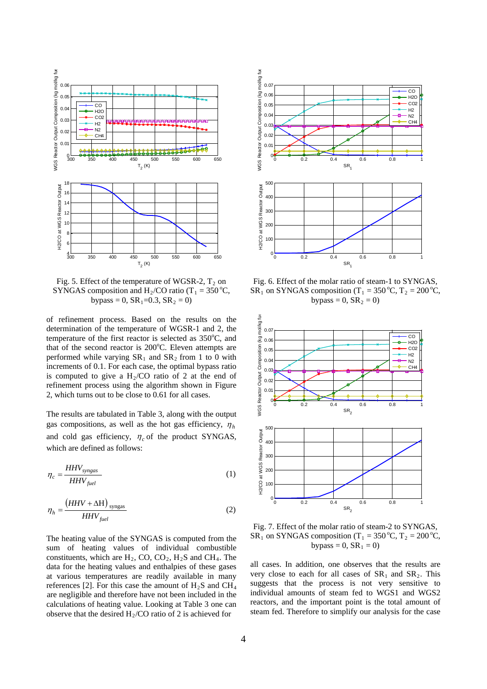

Fig. 5. Effect of the temperature of WGSR-2,  $T_2$  on SYNGAS composition and  $H_2/CO$  ratio (T<sub>1</sub> = 350 °C, bypass = 0,  $SR_1$ =0.3,  $SR_2$  = 0)

of refinement process. Based on the results on the determination of the temperature of WGSR-1 and 2, the temperature of the first reactor is selected as  $350^{\circ}$ C, and that of the second reactor is 200°C. Eleven attempts are performed while varying  $SR<sub>1</sub>$  and  $SR<sub>2</sub>$  from 1 to 0 with increments of 0.1. For each case, the optimal bypass ratio is computed to give a  $H_2/CO$  ratio of 2 at the end of refinement process using the algorithm shown in Figure 2, which turns out to be close to 0.61 for all cases.

The results are tabulated in Table 3, along with the output gas compositions, as well as the hot gas efficiency,  $\eta_h$ and cold gas efficiency,  $\eta_c$  of the product SYNGAS, which are defined as follows:

$$
\eta_c = \frac{HHV_{syngas}}{HHV_{fuel}}\tag{1}
$$

$$
\eta_h = \frac{\left(HHV + \Delta H\right)_{\text{syngas}}}{HHV_{fuel}}\tag{2}
$$

The heating value of the SYNGAS is computed from the sum of heating values of individual combustible constituents, which are  $H_2$ , CO, CO<sub>2</sub>,  $H_2S$  and CH<sub>4</sub>. The data for the heating values and enthalpies of these gases at various temperatures are readily available in many references [2]. For this case the amount of  $H_2S$  and  $CH_4$ are negligible and therefore have not been included in the calculations of heating value. Looking at Table 3 one can observe that the desired  $H_2/CO$  ratio of 2 is achieved for



Fig. 6. Effect of the molar ratio of steam-1 to SYNGAS, SR<sub>1</sub> on SYNGAS composition (T<sub>1</sub> = 350 °C, T<sub>2</sub> = 200 °C, bypass =  $0$ ,  $SR<sub>2</sub> = 0$ )



Fig. 7. Effect of the molar ratio of steam-2 to SYNGAS, SR<sub>1</sub> on SYNGAS composition (T<sub>1</sub> = 350 °C, T<sub>2</sub> = 200 °C, bypass =  $0$ ,  $SR_1 = 0$ )

all cases. In addition, one observes that the results are very close to each for all cases of  $SR_1$  and  $SR_2$ . This suggests that the process is not very sensitive to individual amounts of steam fed to WGS1 and WGS2 reactors, and the important point is the total amount of steam fed. Therefore to simplify our analysis for the case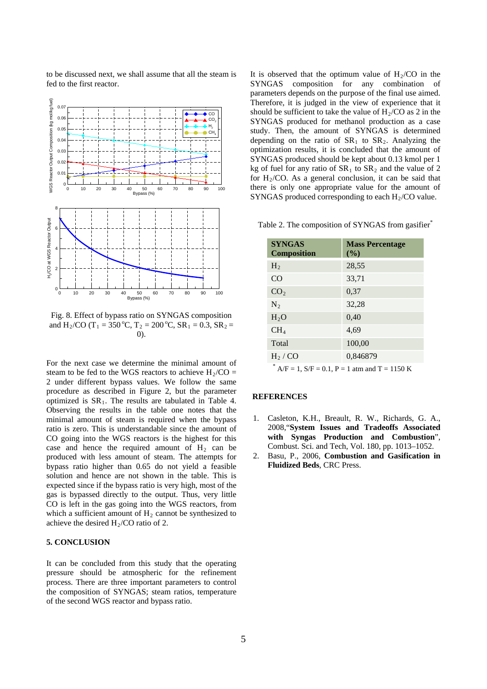to be discussed next, we shall assume that all the steam is fed to the first reactor.



Fig. 8. Effect of bypass ratio on SYNGAS composition and H<sub>2</sub>/CO (T<sub>1</sub> = 350 °C, T<sub>2</sub> = 200 °C, SR<sub>1</sub> = 0.3, SR<sub>2</sub> = 0).

For the next case we determine the minimal amount of steam to be fed to the WGS reactors to achieve  $H_2/CO =$ 2 under different bypass values. We follow the same procedure as described in Figure 2, but the parameter optimized is  $SR<sub>1</sub>$ . The results are tabulated in Table 4. Observing the results in the table one notes that the minimal amount of steam is required when the bypass ratio is zero. This is understandable since the amount of CO going into the WGS reactors is the highest for this case and hence the required amount of  $H_2$  can be produced with less amount of steam. The attempts for bypass ratio higher than 0.65 do not yield a feasible solution and hence are not shown in the table. This is expected since if the bypass ratio is very high, most of the gas is bypassed directly to the output. Thus, very little CO is left in the gas going into the WGS reactors, from which a sufficient amount of  $H_2$  cannot be synthesized to achieve the desired  $H<sub>2</sub>/CO$  ratio of 2.

### **5. CONCLUSION**

It can be concluded from this study that the operating pressure should be atmospheric for the refinement process. There are three important parameters to control the composition of SYNGAS; steam ratios, temperature of the second WGS reactor and bypass ratio.

It is observed that the optimum value of  $H<sub>2</sub>/CO$  in the SYNGAS composition for any combination of parameters depends on the purpose of the final use aimed. Therefore, it is judged in the view of experience that it should be sufficient to take the value of  $H_2/CO$  as 2 in the SYNGAS produced for methanol production as a case study. Then, the amount of SYNGAS is determined depending on the ratio of  $SR<sub>1</sub>$  to  $SR<sub>2</sub>$ . Analyzing the optimization results, it is concluded that the amount of SYNGAS produced should be kept about 0.13 kmol per 1 kg of fuel for any ratio of  $SR_1$  to  $SR_2$  and the value of 2 for  $H<sub>2</sub>/CO$ . As a general conclusion, it can be said that there is only one appropriate value for the amount of SYNGAS produced corresponding to each  $H<sub>2</sub>/CO$  value.

|  |  | Table 2. The composition of SYNGAS from gasifier <sup>*</sup> |  |  |  |  |  |
|--|--|---------------------------------------------------------------|--|--|--|--|--|
|--|--|---------------------------------------------------------------|--|--|--|--|--|

| <b>SYNGAS</b><br><b>Composition</b> | <b>Mass Percentage</b><br>(%) |
|-------------------------------------|-------------------------------|
| $H_2$                               | 28,55                         |
| CO                                  | 33,71                         |
| CO <sub>2</sub>                     | 0,37                          |
| $N_2$                               | 32,28                         |
| H <sub>2</sub> O                    | 0,40                          |
| CH <sub>4</sub>                     | 4,69                          |
| Total                               | 100,00                        |
| $H_2 / CO$                          | 0,846879                      |
| alla.                               |                               |

 $^{\circ}$  A/F = 1, S/F = 0.1, P = 1 atm and T = 1150 K

#### **REFERENCES**

- 1. Casleton, K.H., Breault, R. W., Richards, G. A., 2008,"**System Issues and Tradeoffs Associated with Syngas Production and Combustion**", Combust. Sci. and Tech, Vol. 180, pp. 1013–1052.
- 2. Basu, P., 2006, **Combustion and Gasification in Fluidized Beds**, CRC Press.